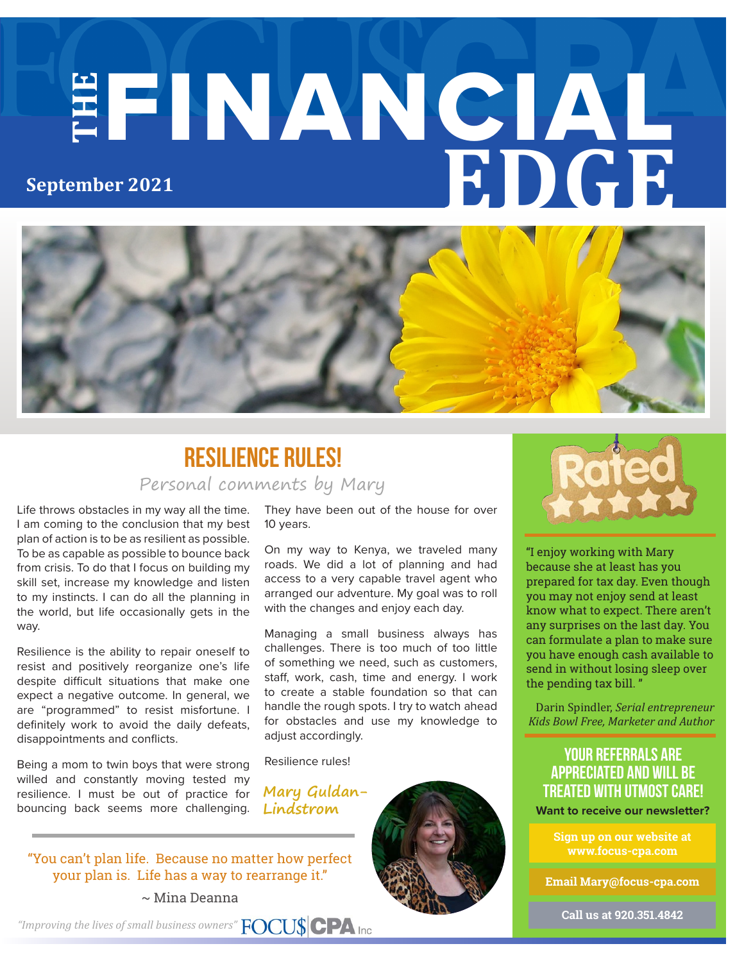# **THE** FINANCIAL **EDGE September 2021**



#### Personal comments by Mary **Resilience rules!**

Life throws obstacles in my way all the time. I am coming to the conclusion that my best plan of action is to be as resilient as possible. To be as capable as possible to bounce back from crisis. To do that I focus on building my skill set, increase my knowledge and listen to my instincts. I can do all the planning in the world, but life occasionally gets in the way.

Resilience is the ability to repair oneself to resist and positively reorganize one's life despite difficult situations that make one expect a negative outcome. In general, we are "programmed" to resist misfortune. I definitely work to avoid the daily defeats, disappointments and conflicts.

Being a mom to twin boys that were strong willed and constantly moving tested my resilience. I must be out of practice for bouncing back seems more challenging. They have been out of the house for over 10 years.

On my way to Kenya, we traveled many roads. We did a lot of planning and had access to a very capable travel agent who arranged our adventure. My goal was to roll with the changes and enjoy each day.

Managing a small business always has challenges. There is too much of too little of something we need, such as customers, staff, work, cash, time and energy. I work to create a stable foundation so that can handle the rough spots. I try to watch ahead for obstacles and use my knowledge to adjust accordingly.

Resilience rules!

**Mary Guldan-Lindstrom**





"I enjoy working with Mary because she at least has you prepared for tax day. Even though you may not enjoy send at least know what to expect. There aren't any surprises on the last day. You can formulate a plan to make sure you have enough cash available to send in without losing sleep over the pending tax bill. "

Darin Spindler, *Serial entrepreneur Kids Bowl Free, Marketer and Author* 

#### **your referrals are appreciated and will be treated with utmost care!**

**Want to receive our newsletter?**

**Sign up on our website at www.focus-cpa.com**

**Email Mary@focus-cpa.com**

**Call us at 920.351.4842**

~ Mina Deanna

*"Improving the lives of small business owners"*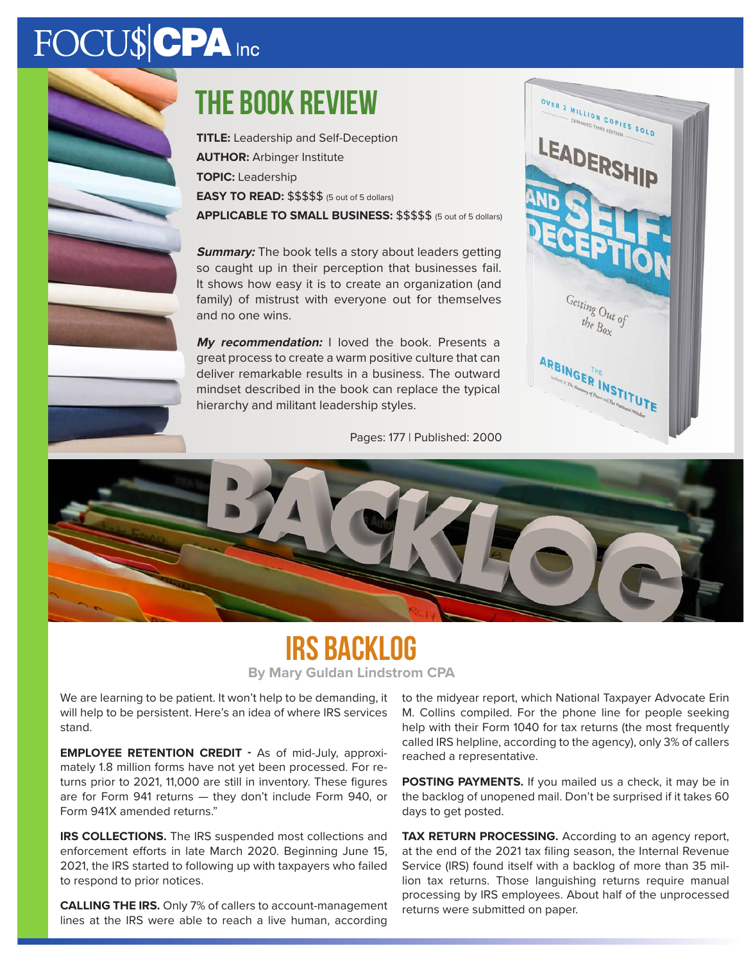# FOCU\$CPA Inc



**TITLE:** Leadership and Self-Deception **AUTHOR:** Arbinger Institute **TOPIC:** Leadership **EASY TO READ:** \$\$\$\$\$ (5 out of 5 dollars) **APPLICABLE TO SMALL BUSINESS:** \$\$\$\$\$ (5 out of 5 dollars)

**Summary:** The book tells a story about leaders getting so caught up in their perception that businesses fail. It shows how easy it is to create an organization (and family) of mistrust with everyone out for themselves and no one wins.

**My recommendation:** I loved the book. Presents a great process to create a warm positive culture that can deliver remarkable results in a business. The outward mindset described in the book can replace the typical hierarchy and militant leadership styles.

Pages: 177 | Published: 2000





### **IRS Backlog**

**By Mary Guldan Lindstrom CPA**

We are learning to be patient. It won't help to be demanding, it will help to be persistent. Here's an idea of where IRS services stand.

**EMPLOYEE RETENTION CREDIT -** As of mid-July, approximately 1.8 million forms have not yet been processed. For returns prior to 2021, 11,000 are still in inventory. These figures are for Form 941 returns — they don't include Form 940, or Form 941X amended returns."

**IRS COLLECTIONS.** The IRS suspended most collections and enforcement efforts in late March 2020. Beginning June 15, 2021, the IRS started to following up with taxpayers who failed to respond to prior notices.

**CALLING THE IRS.** Only 7% of callers to account-management lines at the IRS were able to reach a live human, according to the midyear report, which National Taxpayer Advocate Erin M. Collins compiled. For the phone line for people seeking help with their Form 1040 for tax returns (the most frequently called IRS helpline, according to the agency), only 3% of callers reached a representative.

**POSTING PAYMENTS.** If you mailed us a check, it may be in the backlog of unopened mail. Don't be surprised if it takes 60 days to get posted.

**TAX RETURN PROCESSING.** According to an agency report, at the end of the 2021 tax filing season, the Internal Revenue Service (IRS) found itself with a backlog of more than 35 million tax returns. Those languishing returns require manual processing by IRS employees. About half of the unprocessed returns were submitted on paper.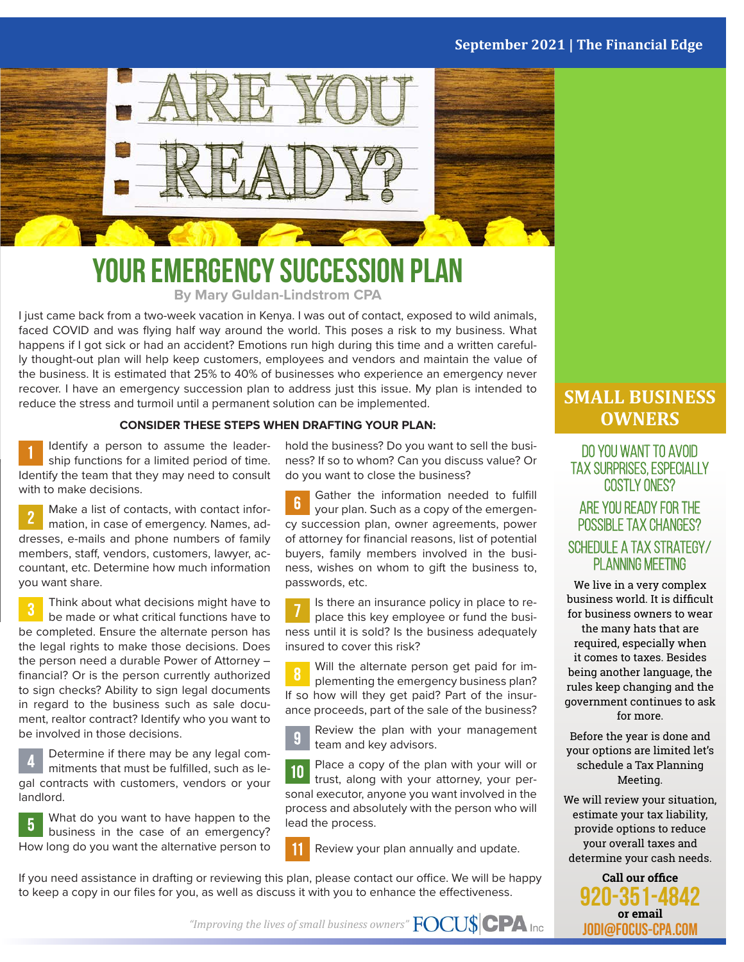#### **September 2021 | The Financial Edge**



#### **Your Emergency Succession Plan By Mary Guldan-Lindstrom CPA**

I just came back from a two-week vacation in Kenya. I was out of contact, exposed to wild animals, faced COVID and was flying half way around the world. This poses a risk to my business. What happens if I got sick or had an accident? Emotions run high during this time and a written carefully thought-out plan will help keep customers, employees and vendors and maintain the value of the business. It is estimated that 25% to 40% of businesses who experience an emergency never recover. I have an emergency succession plan to address just this issue. My plan is intended to reduce the stress and turmoil until a permanent solution can be implemented.

#### **CONSIDER THESE STEPS WHEN DRAFTING YOUR PLAN:**

Identify a person to assume the leadership functions for a limited period of time. Identify the team that they may need to consult with to make decisions.

Make a list of contacts, with contact information, in case of emergency. Names, addresses, e-mails and phone numbers of family members, staff, vendors, customers, lawyer, accountant, etc. Determine how much information you want share.

Think about what decisions might have to be made or what critical functions have to be completed. Ensure the alternate person has the legal rights to make those decisions. Does the person need a durable Power of Attorney – financial? Or is the person currently authorized to sign checks? Ability to sign legal documents in regard to the business such as sale document, realtor contract? Identify who you want to be involved in those decisions.

Determine if there may be any legal commitments that must be fulfilled, such as legal contracts with customers, vendors or your landlord.

What do you want to have happen to the 5 business in the case of an emergency? How long do you want the alternative person to

hold the business? Do you want to sell the business? If so to whom? Can you discuss value? Or do you want to close the business?

Gather the information needed to fulfill  $\mathbf{6}$ your plan. Such as a copy of the emergency succession plan, owner agreements, power of attorney for financial reasons, list of potential buyers, family members involved in the business, wishes on whom to gift the business to, passwords, etc.

Is there an insurance policy in place to replace this key employee or fund the business until it is sold? Is the business adequately insured to cover this risk?

Will the alternate person get paid for im-8 plementing the emergency business plan? If so how will they get paid? Part of the insurance proceeds, part of the sale of the business?

Review the plan with your management  $\overline{9}$ team and key advisors.

Place a copy of the plan with your will or  $10$ trust, along with your attorney, your personal executor, anyone you want involved in the process and absolutely with the person who will lead the process.

Review your plan annually and update.

If you need assistance in drafting or reviewing this plan, please contact our office. We will be happy to keep a copy in our files for you, as well as discuss it with you to enhance the effectiveness.

#### **SMALL BUSINESS OWNERS**

DO YOU WANT TO AVOID<br>TAX SURPRISES, ESPECIALLY costly ones?

#### Are you ready for the possible tax changes? Schedule a Tax Strategy/ PLANNING MEETING

We live in a very complex business world. It is difficult for business owners to wear the many hats that are required, especially when it comes to taxes. Besides being another language, the rules keep changing and the government continues to ask for more.

Before the year is done and your options are limited let's schedule a Tax Planning Meeting.

We will review your situation, estimate your tax liability, provide options to reduce your overall taxes and determine your cash needs.



*"Improving the lives of small business owners"*